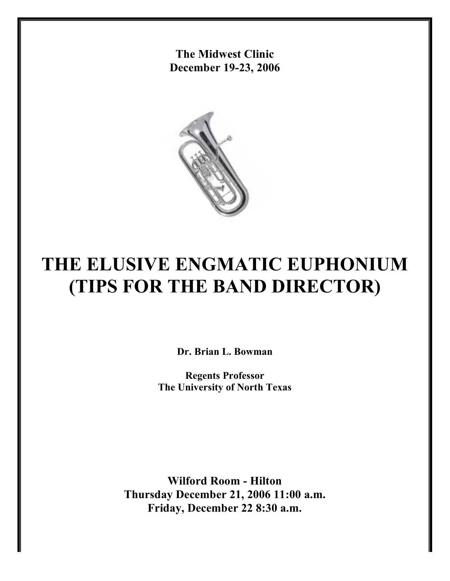**The Midwest Clinic December 19-23, 2006**



# **THE ELUSIVE ENGMATIC EUPHONIUM (TIPS FOR THE BAND DIRECTOR)**

**Dr. Brian L. Bowman**

**Regents Professor The University of North Texas**

**Wilford Room - Hilton Thursday December 21, 2006 11:00 a.m. Friday, December 22 8:30 a.m.**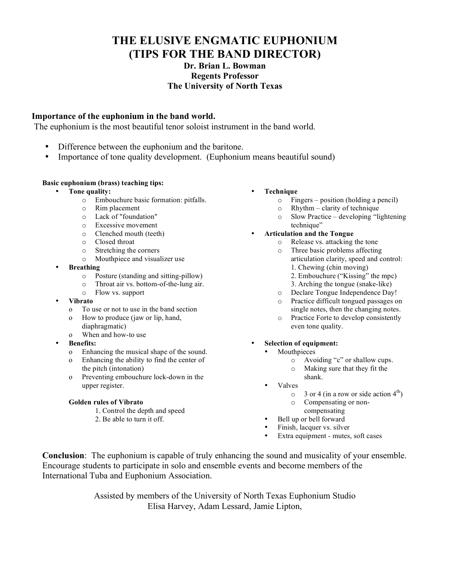# **THE ELUSIVE ENGMATIC EUPHONIUM (TIPS FOR THE BAND DIRECTOR)**

# **Dr. Brian L. Bowman Regents Professor The University of North Texas**

# **Importance of the euphonium in the band world.**

The euphonium is the most beautiful tenor soloist instrument in the band world.

- Difference between the euphonium and the baritone.
- Importance of tone quality development. (Euphonium means beautiful sound)

## **Basic euphonium (brass) teaching tips:**

- **Tone quality:**
	- o Embouchure basic formation: pitfalls.
	- o Rim placement
	- o Lack of "foundation"
	- o Excessive movement
	- o Clenched mouth (teeth)
	- o Closed throat
	- o Stretching the corners
	- Mouthpiece and visualizer use
- **Breathing**
	- o Posture (standing and sitting-pillow)
	- o Throat air vs. bottom-of-the-lung air.
	- o Flow vs. support
- **Vibrato**
	- o To use or not to use in the band section
	- o How to produce (jaw or lip, hand, diaphragmatic)
	- o When and how-to use
- **Benefits:**
	- o Enhancing the musical shape of the sound.
	- o Enhancing the ability to find the center of the pitch (intonation)
	- o Preventing embouchure lock-down in the upper register.

### **Golden rules of Vibrato**

- 1. Control the depth and speed
- 2. Be able to turn it off.
- **Technique**
	- o Fingers position (holding a pencil)
	- o Rhythm clarity of technique
	- o Slow Practice developing "lightening technique"
- **Articulation and the Tongue**
	- o Release vs. attacking the tone
	- o Three basic problems affecting articulation clarity, speed and control: 1. Chewing (chin moving)
		- 2. Embouchure ("Kissing" the mpc)
		- 3. Arching the tongue (snake-like)
	- o Declare Tongue Independence Day!
	- o Practice difficult tongued passages on single notes, then the changing notes.
	- o Practice Forte to develop consistently even tone quality.
- **Selection of equipment:**
	- **Mouthpieces** 
		- o Avoiding "c" or shallow cups.
		- o Making sure that they fit the shank.
		- Valves
			- $\circ$  3 or 4 (in a row or side action 4<sup>th</sup>)
			- o Compensating or non-
		- compensating
		- Bell up or bell forward
	- Finish, lacquer vs. silver
	- Extra equipment mutes, soft cases

**Conclusion**: The euphonium is capable of truly enhancing the sound and musicality of your ensemble. Encourage students to participate in solo and ensemble events and become members of the International Tuba and Euphonium Association.

> Assisted by members of the University of North Texas Euphonium Studio Elisa Harvey, Adam Lessard, Jamie Lipton,

- - - -
			-
		-
		-
		-